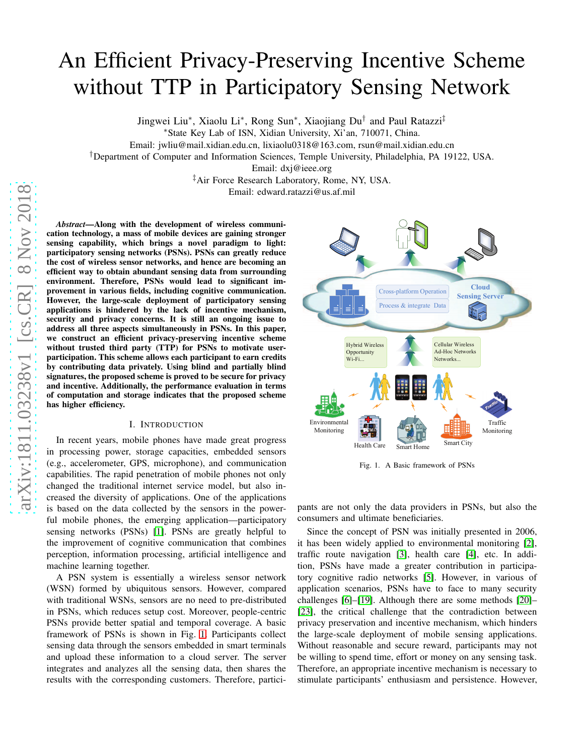# An Efficient Privacy-Preserving Incentive Scheme without TTP in Participatory Sensing Network

Jingwei Liu<sup>∗</sup> , Xiaolu Li<sup>∗</sup> , Rong Sun<sup>∗</sup> , Xiaojiang Du† and Paul Ratazzi‡

<sup>∗</sup>State Key Lab of ISN, Xidian University, Xi'an, 710071, China.

Email: jwliu@mail.xidian.edu.cn, lixiaolu0318@163.com, rsun@mail.xidian.edu.cn

†Department of Computer and Information Sciences, Temple University, Philadelphia, PA 19122, USA.

Email: dxj@ieee.org

‡Air Force Research Laboratory, Rome, NY, USA.

Email: edward.ratazzi@us.af.mil

*Abstract*—Along with the development of wireless communication technology, a mass of mobile devices are gaining stronger sensing capability, which brings a novel paradigm to light: participatory sensing networks (PSNs). PSNs can greatly reduce the cost of wireless sensor networks, and hence are becoming an efficient way to obtain abundant sensing data from surrounding environment. Therefore, PSNs would lead to significant improvement in various fields, including cognitive communication. However, the large-scale deployment of participatory sensing applications is hindered by the lack of incentive mechanism, security and privacy concerns. It is still an ongoing issue to address all three aspects simultaneously in PSNs. In this paper, we construct an efficient privacy-preserving incentive scheme without trusted third party (TTP) for PSNs to motivate userparticipation. This scheme allows each participant to earn credits by contributing data privately. Using blind and partially blind signatures, the proposed scheme is proved to be secure for privacy and incentive. Additionally, the performance evaluation in terms of computation and storage indicates that the proposed scheme has higher efficiency.

## I. INTRODUCTION

In recent years, mobile phones have made great progress in processing power, storage capacities, embedded sensors (e.g., accelerometer, GPS, microphone), and communication capabilities. The rapid penetration of mobile phones not only changed the traditional internet service model, but also increased the diversity of applications. One of the applications is based on the data collected by the sensors in the powerful mobile phones, the emerging application—participatory sensing networks (PSNs) [\[1\]](#page-5-0). PSNs are greatly helpful to the improvement of cognitive communication that combines perception, information processing, artificial intelligence and machine learning together.

A PSN system is essentially a wireless sensor network (WSN) formed by ubiquitous sensors. However, compared with traditional WSNs, sensors are no need to pre-distributed in PSNs, which reduces setup cost. Moreover, people-centric PSNs provide better spatial and temporal coverage. A basic framework of PSNs is shown in Fig. [1.](#page-0-0) Participants collect sensing data through the sensors embedded in smart terminals and upload these information to a cloud server. The server integrates and analyzes all the sensing data, then shares the results with the corresponding customers. Therefore, partici-



<span id="page-0-0"></span>Fig. 1. A Basic framework of PSNs

pants are not only the data providers in PSNs, but also the consumers and ultimate beneficiaries.

Since the concept of PSN was initially presented in 2006, it has been widely applied to environmental monitoring [\[2\]](#page-5-1), traffic route navigation [\[3\]](#page-5-2), health care [\[4\]](#page-5-3), etc. In addition, PSNs have made a greater contribution in participatory cognitive radio networks [\[5\]](#page-5-4). However, in various of application scenarios, PSNs have to face to many security challenges [\[6\]](#page-5-5)–[\[19\]](#page-5-6). Although there are some methods [\[20\]](#page-5-7)– [\[23\]](#page-5-8), the critical challenge that the contradiction between privacy preservation and incentive mechanism, which hinders the large-scale deployment of mobile sensing applications. Without reasonable and secure reward, participants may not be willing to spend time, effort or money on any sensing task. Therefore, an appropriate incentive mechanism is necessary to stimulate participants' enthusiasm and persistence. However,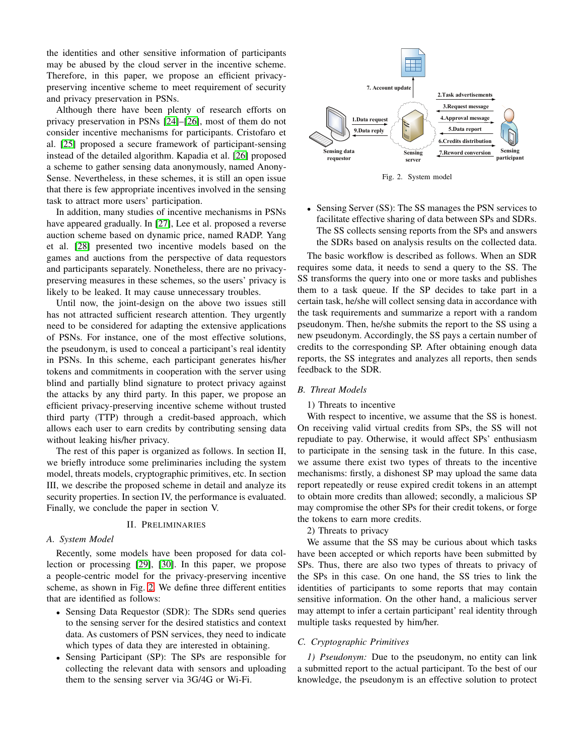the identities and other sensitive information of participants may be abused by the cloud server in the incentive scheme. Therefore, in this paper, we propose an efficient privacypreserving incentive scheme to meet requirement of security and privacy preservation in PSNs.

Although there have been plenty of research efforts on privacy preservation in PSNs [\[24\]](#page-5-9)–[\[26\]](#page-5-10), most of them do not consider incentive mechanisms for participants. Cristofaro et al. [\[25\]](#page-5-11) proposed a secure framework of participant-sensing instead of the detailed algorithm. Kapadia et al. [\[26\]](#page-5-10) proposed a scheme to gather sensing data anonymously, named Anony-Sense. Nevertheless, in these schemes, it is still an open issue that there is few appropriate incentives involved in the sensing task to attract more users' participation.

In addition, many studies of incentive mechanisms in PSNs have appeared gradually. In [\[27\]](#page-5-12), Lee et al. proposed a reverse auction scheme based on dynamic price, named RADP. Yang et al. [\[28\]](#page-5-13) presented two incentive models based on the games and auctions from the perspective of data requestors and participants separately. Nonetheless, there are no privacypreserving measures in these schemes, so the users' privacy is likely to be leaked. It may cause unnecessary troubles.

Until now, the joint-design on the above two issues still has not attracted sufficient research attention. They urgently need to be considered for adapting the extensive applications of PSNs. For instance, one of the most effective solutions, the pseudonym, is used to conceal a participant's real identity in PSNs. In this scheme, each participant generates his/her tokens and commitments in cooperation with the server using blind and partially blind signature to protect privacy against the attacks by any third party. In this paper, we propose an efficient privacy-preserving incentive scheme without trusted third party (TTP) through a credit-based approach, which allows each user to earn credits by contributing sensing data without leaking his/her privacy.

The rest of this paper is organized as follows. In section II, we briefly introduce some preliminaries including the system model, threats models, cryptographic primitives, etc. In section III, we describe the proposed scheme in detail and analyze its security properties. In section IV, the performance is evaluated. Finally, we conclude the paper in section V.

# II. PRELIMINARIES

## *A. System Model*

Recently, some models have been proposed for data collection or processing [\[29\]](#page-5-14), [\[30\]](#page-5-15). In this paper, we propose a people-centric model for the privacy-preserving incentive scheme, as shown in Fig. [2.](#page-1-0) We define three different entities that are identified as follows:

- Sensing Data Requestor (SDR): The SDRs send queries to the sensing server for the desired statistics and context data. As customers of PSN services, they need to indicate which types of data they are interested in obtaining.
- Sensing Participant (SP): The SPs are responsible for collecting the relevant data with sensors and uploading them to the sensing server via 3G/4G or Wi-Fi.



<span id="page-1-0"></span>Fig. 2. System model

• Sensing Server (SS): The SS manages the PSN services to facilitate effective sharing of data between SPs and SDRs. The SS collects sensing reports from the SPs and answers the SDRs based on analysis results on the collected data.

The basic workflow is described as follows. When an SDR requires some data, it needs to send a query to the SS. The SS transforms the query into one or more tasks and publishes them to a task queue. If the SP decides to take part in a certain task, he/she will collect sensing data in accordance with the task requirements and summarize a report with a random pseudonym. Then, he/she submits the report to the SS using a new pseudonym. Accordingly, the SS pays a certain number of credits to the corresponding SP. After obtaining enough data reports, the SS integrates and analyzes all reports, then sends feedback to the SDR.

## *B. Threat Models*

#### 1) Threats to incentive

With respect to incentive, we assume that the SS is honest. On receiving valid virtual credits from SPs, the SS will not repudiate to pay. Otherwise, it would affect SPs' enthusiasm to participate in the sensing task in the future. In this case, we assume there exist two types of threats to the incentive mechanisms: firstly, a dishonest SP may upload the same data report repeatedly or reuse expired credit tokens in an attempt to obtain more credits than allowed; secondly, a malicious SP may compromise the other SPs for their credit tokens, or forge the tokens to earn more credits.

2) Threats to privacy

We assume that the SS may be curious about which tasks have been accepted or which reports have been submitted by SPs. Thus, there are also two types of threats to privacy of the SPs in this case. On one hand, the SS tries to link the identities of participants to some reports that may contain sensitive information. On the other hand, a malicious server may attempt to infer a certain participant' real identity through multiple tasks requested by him/her.

# *C. Cryptographic Primitives*

*1) Pseudonym:* Due to the pseudonym, no entity can link a submitted report to the actual participant. To the best of our knowledge, the pseudonym is an effective solution to protect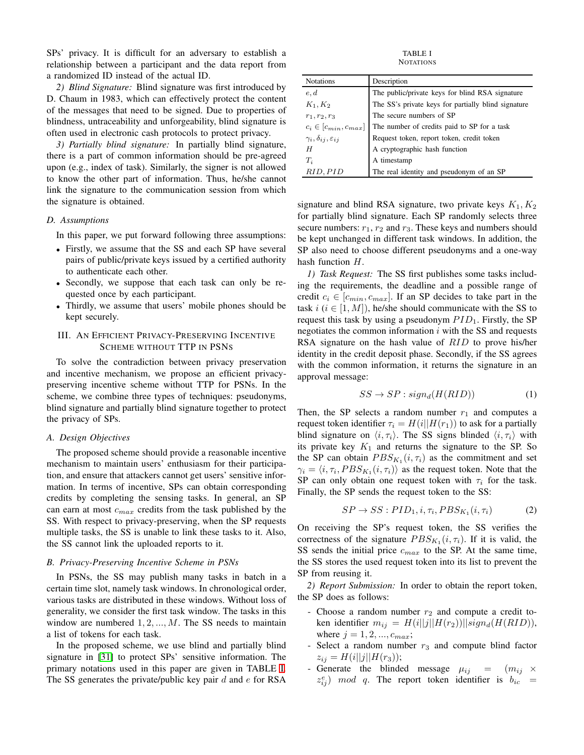SPs' privacy. It is difficult for an adversary to establish a relationship between a participant and the data report from a randomized ID instead of the actual ID.

*2) Blind Signature:* Blind signature was first introduced by D. Chaum in 1983, which can effectively protect the content of the messages that need to be signed. Due to properties of blindness, untraceability and unforgeability, blind signature is often used in electronic cash protocols to protect privacy.

*3) Partially blind signature:* In partially blind signature, there is a part of common information should be pre-agreed upon (e.g., index of task). Similarly, the signer is not allowed to know the other part of information. Thus, he/she cannot link the signature to the communication session from which the signature is obtained.

## *D. Assumptions*

In this paper, we put forward following three assumptions:

- Firstly, we assume that the SS and each SP have several pairs of public/private keys issued by a certified authority to authenticate each other.
- Secondly, we suppose that each task can only be requested once by each participant.
- Thirdly, we assume that users' mobile phones should be kept securely.

# III. AN EFFICIENT PRIVACY-PRESERVING INCENTIVE SCHEME WITHOUT TTP IN PSNS

To solve the contradiction between privacy preservation and incentive mechanism, we propose an efficient privacypreserving incentive scheme without TTP for PSNs. In the scheme, we combine three types of techniques: pseudonyms, blind signature and partially blind signature together to protect the privacy of SPs.

#### *A. Design Objectives*

The proposed scheme should provide a reasonable incentive mechanism to maintain users' enthusiasm for their participation, and ensure that attackers cannot get users' sensitive information. In terms of incentive, SPs can obtain corresponding credits by completing the sensing tasks. In general, an SP can earn at most  $c_{max}$  credits from the task published by the SS. With respect to privacy-preserving, when the SP requests multiple tasks, the SS is unable to link these tasks to it. Also, the SS cannot link the uploaded reports to it.

#### *B. Privacy-Preserving Incentive Scheme in PSNs*

In PSNs, the SS may publish many tasks in batch in a certain time slot, namely task windows. In chronological order, various tasks are distributed in these windows. Without loss of generality, we consider the first task window. The tasks in this window are numbered  $1, 2, ..., M$ . The SS needs to maintain a list of tokens for each task.

In the proposed scheme, we use blind and partially blind signature in [\[31\]](#page-5-16) to protect SPs' sensitive information. The primary notations used in this paper are given in TABLE [I.](#page-2-0) The SS generates the private/public key pair  $d$  and  $e$  for RSA

TABLE I **NOTATIONS** 

<span id="page-2-0"></span>

| <b>Notations</b>                          | Description                                         |
|-------------------------------------------|-----------------------------------------------------|
| e, d                                      | The public/private keys for blind RSA signature     |
| $K_1, K_2$                                | The SS's private keys for partially blind signature |
| $r_1, r_2, r_3$                           | The secure numbers of SP                            |
| $c_i \in [c_{min}, c_{max}]$              | The number of credits paid to SP for a task         |
| $\gamma_i, \delta_{ij}, \varepsilon_{ij}$ | Request token, report token, credit token           |
| H                                         | A cryptographic hash function                       |
| $T_i$                                     | A timestamp                                         |
| RID, PID                                  | The real identity and pseudonym of an SP            |

signature and blind RSA signature, two private keys  $K_1, K_2$ for partially blind signature. Each SP randomly selects three secure numbers:  $r_1$ ,  $r_2$  and  $r_3$ . These keys and numbers should be kept unchanged in different task windows. In addition, the SP also need to choose different pseudonyms and a one-way hash function H.

*1) Task Request:* The SS first publishes some tasks including the requirements, the deadline and a possible range of credit  $c_i \in [c_{min}, c_{max}]$ . If an SP decides to take part in the task  $i$  ( $i \in [1, M]$ ), he/she should communicate with the SS to request this task by using a pseudonym  $PID_1$ . Firstly, the SP negotiates the common information  $i$  with the SS and requests RSA signature on the hash value of RID to prove his/her identity in the credit deposit phase. Secondly, if the SS agrees with the common information, it returns the signature in an approval message:

$$
SS \to SP : sign_d(H(RID))
$$
 (1)

Then, the SP selects a random number  $r_1$  and computes a request token identifier  $\tau_i = H(i||H(r_1))$  to ask for a partially blind signature on  $\langle i, \tau_i \rangle$ . The SS signs blinded  $\langle i, \tau_i \rangle$  with its private key  $K_1$  and returns the signature to the SP. So the SP can obtain  $PBS_{K_1}(i, \tau_i)$  as the commitment and set  $\gamma_i = \langle i, \tau_i, PBS_{K_1}(i, \tau_i) \rangle$  as the request token. Note that the SP can only obtain one request token with  $\tau_i$  for the task. Finally, the SP sends the request token to the SS:

$$
SP \to SS : PID_1, i, \tau_i, PBS_{K_1}(i, \tau_i)
$$
 (2)

On receiving the SP's request token, the SS verifies the correctness of the signature  $PBS_{K_1}(i, \tau_i)$ . If it is valid, the SS sends the initial price  $c_{max}$  to the SP. At the same time, the SS stores the used request token into its list to prevent the SP from reusing it.

*2) Report Submission:* In order to obtain the report token, the SP does as follows:

- Choose a random number  $r_2$  and compute a credit token identifier  $m_{ij} = H(i||j||H(r_2))||sign_d(H(RID)),$ where  $j = 1, 2, ..., c_{max}$ ;
- Select a random number  $r_3$  and compute blind factor  $z_{ij} = H(i||j||H(r_3));$
- Generate the blinded message  $\mu_{ij}$  =  $(m_{ij} \times$  $z_{ij}^e$ ) mod q. The report token identifier is  $b_{ic}$  =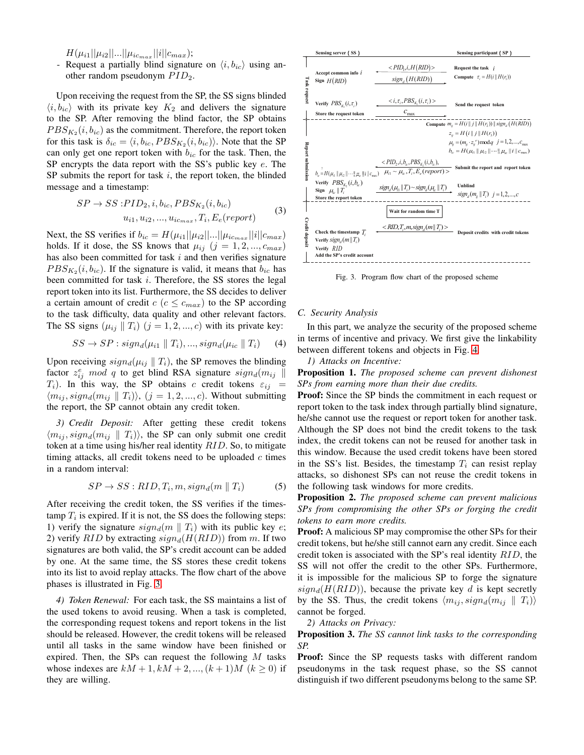$H(\mu_{i1}||\mu_{i2}||...||\mu_{ic_{max}}||i||c_{max});$ 

- Request a partially blind signature on  $\langle i, b_{ic} \rangle$  using another random pseudonym  $PID_2$ .

Upon receiving the request from the SP, the SS signs blinded  $\langle i, b_{ic} \rangle$  with its private key  $K_2$  and delivers the signature to the SP. After removing the blind factor, the SP obtains  $PBS<sub>K<sub>2</sub></sub>(i, b<sub>ic</sub>)$  as the commitment. Therefore, the report token for this task is  $\delta_{ic} = \langle i, b_{ic}, PBS_{K_2}(i, b_{ic}) \rangle$ . Note that the SP can only get one report token with  $b_{ic}$  for the task. Then, the SP encrypts the data report with the SS's public key  $e$ . The  $SP$  submits the report for task i, the report token, the blinded message and a timestamp:

$$
SP \rightarrow SS: PID_2, i, b_{ic}, PBS_{K_2}(i, b_{ic})
$$
  

$$
u_{i1}, u_{i2}, ..., u_{ic_{max}}, T_i, E_e(report)
$$
 (3)

Next, the SS verifies if  $b_{ic} = H(\mu_{i1}||\mu_{i2}||...||\mu_{ic_{max}}||i||c_{max})$ holds. If it dose, the SS knows that  $\mu_{ij}$   $(j = 1, 2, ..., c_{max})$ has also been committed for task  $i$  and then verifies signature  $PBS<sub>K<sub>2</sub></sub>(i, b<sub>ic</sub>)$ . If the signature is valid, it means that  $b<sub>ic</sub>$  has been committed for task *i*. Therefore, the SS stores the legal report token into its list. Furthermore, the SS decides to deliver a certain amount of credit  $c$  ( $c \leq c_{max}$ ) to the SP according to the task difficulty, data quality and other relevant factors. The SS signs  $(\mu_{ij} \parallel T_i)$   $(j = 1, 2, ..., c)$  with its private key:

$$
SS \to SP : sign_d(\mu_{i1} \parallel T_i), ..., sign_d(\mu_{ic} \parallel T_i)
$$
 (4)

Upon receiving  $sign_d(\mu_{ij} \parallel T_i)$ , the SP removes the blinding factor  $z_{ij}^e$  mod q to get blind RSA signature  $sign_d(m_{ij} ||$  $T_i$ ). In this way, the SP obtains c credit tokens  $\varepsilon_{ij}$  =  $\langle m_{ij}, sign_d(m_{ij} \parallel T_i) \rangle$ ,  $(j = 1, 2, ..., c)$ . Without submitting the report, the SP cannot obtain any credit token.

*3) Credit Deposit:* After getting these credit tokens  $\langle m_{ij}, sign_d(m_{ij} \parallel T_i) \rangle$ , the SP can only submit one credit token at a time using his/her real identity RID. So, to mitigate timing attacks, all credit tokens need to be uploaded  $c$  times in a random interval:

$$
SP \to SS : RID, T_i, m, sign_d(m || T_i)
$$
 (5)

After receiving the credit token, the SS verifies if the timestamp  $T_i$  is expired. If it is not, the SS does the following steps: 1) verify the signature  $sign_d(m \parallel T_i)$  with its public key e; 2) verify RID by extracting  $sign_d(H(RID))$  from m. If two signatures are both valid, the SP's credit account can be added by one. At the same time, the SS stores these credit tokens into its list to avoid replay attacks. The flow chart of the above phases is illustrated in Fig. [3.](#page-3-0)

*4) Token Renewal:* For each task, the SS maintains a list of the used tokens to avoid reusing. When a task is completed, the corresponding request tokens and report tokens in the list should be released. However, the credit tokens will be released until all tasks in the same window have been finished or expired. Then, the SPs can request the following  $M$  tasks whose indexes are  $kM + 1$ ,  $kM + 2$ , ...,  $(k + 1)M$   $(k \ge 0)$  if they are willing.



<span id="page-3-0"></span>Fig. 3. Program flow chart of the proposed scheme

#### *C. Security Analysis*

In this part, we analyze the security of the proposed scheme in terms of incentive and privacy. We first give the linkability between different tokens and objects in Fig. [4.](#page-4-0)

*1) Attacks on Incentive:*

Proposition 1. *The proposed scheme can prevent dishonest SPs from earning more than their due credits.*

Proof: Since the SP binds the commitment in each request or report token to the task index through partially blind signature, he/she cannot use the request or report token for another task. Although the SP does not bind the credit tokens to the task index, the credit tokens can not be reused for another task in this window. Because the used credit tokens have been stored in the SS's list. Besides, the timestamp  $T_i$  can resist replay attacks, so dishonest SPs can not reuse the credit tokens in the following task windows for more credits.

Proposition 2. *The proposed scheme can prevent malicious SPs from compromising the other SPs or forging the credit tokens to earn more credits.*

Proof: A malicious SP may compromise the other SPs for their credit tokens, but he/she still cannot earn any credit. Since each credit token is associated with the SP's real identity  $RID$ , the SS will not offer the credit to the other SPs. Furthermore, it is impossible for the malicious SP to forge the signature  $sign_d(H(RID))$ , because the private key d is kept secretly by the SS. Thus, the credit tokens  $\langle m_{ij}, sign_d(m_{ij} \parallel T_i) \rangle$ cannot be forged.

*2) Attacks on Privacy:*

# Proposition 3. *The SS cannot link tasks to the corresponding SP.*

Proof: Since the SP requests tasks with different random pseudonyms in the task request phase, so the SS cannot distinguish if two different pseudonyms belong to the same SP.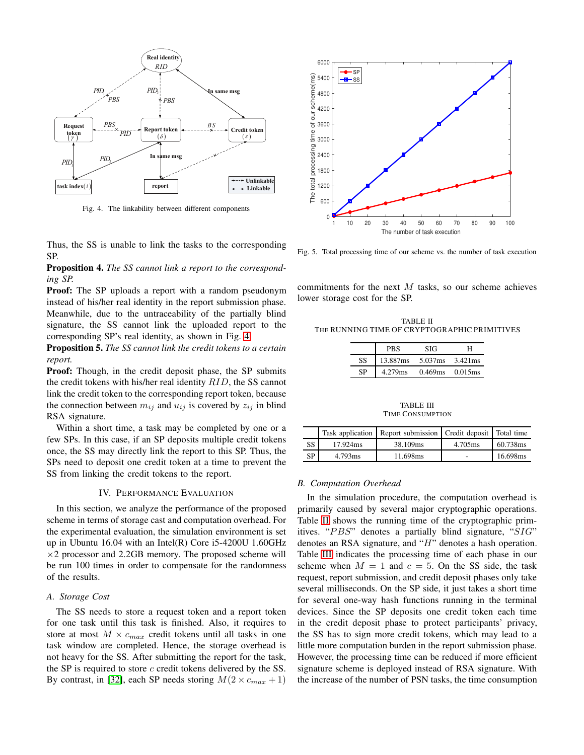

<span id="page-4-0"></span>Fig. 4. The linkability between different components

Thus, the SS is unable to link the tasks to the corresponding SP.

# Proposition 4. *The SS cannot link a report to the corresponding SP.*

**Proof:** The SP uploads a report with a random pseudonym instead of his/her real identity in the report submission phase. Meanwhile, due to the untraceability of the partially blind signature, the SS cannot link the uploaded report to the corresponding SP's real identity, as shown in Fig. [4.](#page-4-0)

Proposition 5. *The SS cannot link the credit tokens to a certain report.*

Proof: Though, in the credit deposit phase, the SP submits the credit tokens with his/her real identity RID, the SS cannot link the credit token to the corresponding report token, because the connection between  $m_{ij}$  and  $u_{ij}$  is covered by  $z_{ij}$  in blind RSA signature.

Within a short time, a task may be completed by one or a few SPs. In this case, if an SP deposits multiple credit tokens once, the SS may directly link the report to this SP. Thus, the SPs need to deposit one credit token at a time to prevent the SS from linking the credit tokens to the report.

## IV. PERFORMANCE EVALUATION

In this section, we analyze the performance of the proposed scheme in terms of storage cast and computation overhead. For the experimental evaluation, the simulation environment is set up in Ubuntu 16.04 with an Intel(R) Core i5-4200U 1.60GHz  $\times$ 2 processor and 2.2GB memory. The proposed scheme will be run 100 times in order to compensate for the randomness of the results.

# *A. Storage Cost*

The SS needs to store a request token and a report token for one task until this task is finished. Also, it requires to store at most  $M \times c_{max}$  credit tokens until all tasks in one task window are completed. Hence, the storage overhead is not heavy for the SS. After submitting the report for the task, the SP is required to store  $c$  credit tokens delivered by the SS. By contrast, in [\[32\]](#page-6-0), each SP needs storing  $M(2 \times c_{max} + 1)$ 



<span id="page-4-3"></span>Fig. 5. Total processing time of our scheme vs. the number of task execution

commitments for the next  $M$  tasks, so our scheme achieves lower storage cost for the SP.

<span id="page-4-1"></span>TABLE II THE RUNNING TIME OF CRYPTOGRAPHIC PRIMITIVES

|    | <b>PRS</b>               | SIG                 |  |
|----|--------------------------|---------------------|--|
| SS | 13.887ms 5.037ms 3.421ms |                     |  |
| SP | 4.279ms                  | $0.469ms$ $0.015ms$ |  |

TABLE III TIME CONSUMPTION

<span id="page-4-2"></span>

|           |          | Task application   Report submission   Credit deposit   Total time |         |          |
|-----------|----------|--------------------------------------------------------------------|---------|----------|
| <b>SS</b> | 17.924ms | 38.109ms                                                           | 4.705ms | 60.738ms |
| <b>SP</b> | 4.793ms  | 11.698ms                                                           |         | 16.698ms |

# *B. Computation Overhead*

In the simulation procedure, the computation overhead is primarily caused by several major cryptographic operations. Table [II](#page-4-1) shows the running time of the cryptographic primitives. "PBS" denotes a partially blind signature, "SIG" denotes an RSA signature, and "H" denotes a hash operation. Table [III](#page-4-2) indicates the processing time of each phase in our scheme when  $M = 1$  and  $c = 5$ . On the SS side, the task request, report submission, and credit deposit phases only take several milliseconds. On the SP side, it just takes a short time for several one-way hash functions running in the terminal devices. Since the SP deposits one credit token each time in the credit deposit phase to protect participants' privacy, the SS has to sign more credit tokens, which may lead to a little more computation burden in the report submission phase. However, the processing time can be reduced if more efficient signature scheme is deployed instead of RSA signature. With the increase of the number of PSN tasks, the time consumption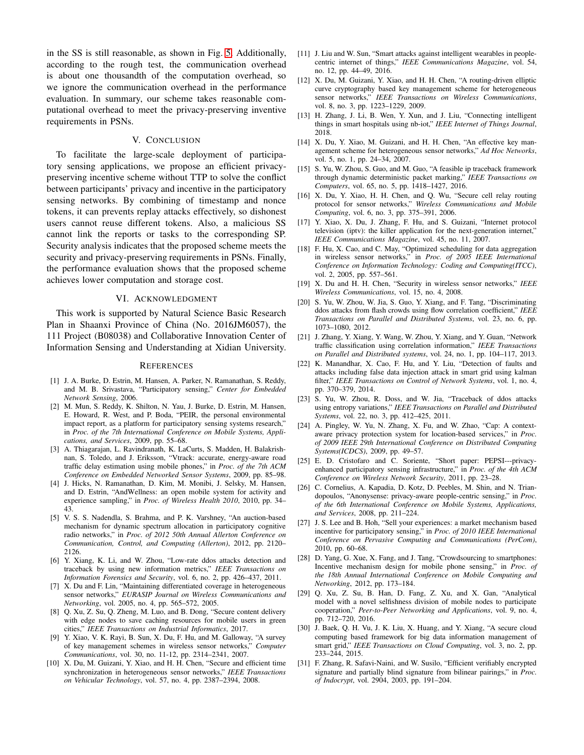in the SS is still reasonable, as shown in Fig. [5.](#page-4-3) Additionally, according to the rough test, the communication overhead is about one thousandth of the computation overhead, so we ignore the communication overhead in the performance evaluation. In summary, our scheme takes reasonable computational overhead to meet the privacy-preserving inventive requirements in PSNs.

## V. CONCLUSION

To facilitate the large-scale deployment of participatory sensing applications, we propose an efficient privacypreserving incentive scheme without TTP to solve the conflict between participants' privacy and incentive in the participatory sensing networks. By combining of timestamp and nonce tokens, it can prevents replay attacks effectively, so dishonest users cannot reuse different tokens. Also, a malicious SS cannot link the reports or tasks to the corresponding SP. Security analysis indicates that the proposed scheme meets the security and privacy-preserving requirements in PSNs. Finally, the performance evaluation shows that the proposed scheme achieves lower computation and storage cost.

## VI. ACKNOWLEDGMENT

This work is supported by Natural Science Basic Research Plan in Shaanxi Province of China (No. 2016JM6057), the 111 Project (B08038) and Collaborative Innovation Center of Information Sensing and Understanding at Xidian University.

#### **REFERENCES**

- <span id="page-5-0"></span>[1] J. A. Burke, D. Estrin, M. Hansen, A. Parker, N. Ramanathan, S. Reddy, and M. B. Srivastava, "Participatory sensing," *Center for Embedded Network Sensing*, 2006.
- <span id="page-5-1"></span>[2] M. Mun, S. Reddy, K. Shilton, N. Yau, J. Burke, D. Estrin, M. Hansen, E. Howard, R. West, and P. Boda, "PEIR, the personal environmental impact report, as a platform for participatory sensing systems research," in *Proc. of the 7th International Conference on Mobile Systems, Applications, and Services*, 2009, pp. 55–68.
- <span id="page-5-2"></span>[3] A. Thiagarajan, L. Ravindranath, K. LaCurts, S. Madden, H. Balakrishnan, S. Toledo, and J. Eriksson, "Vtrack: accurate, energy-aware road traffic delay estimation using mobile phones," in *Proc. of the 7th ACM Conference on Embedded Networked Sensor Systems*, 2009, pp. 85–98.
- <span id="page-5-3"></span>[4] J. Hicks, N. Ramanathan, D. Kim, M. Monibi, J. Selsky, M. Hansen, and D. Estrin, "AndWellness: an open mobile system for activity and experience sampling," in *Proc. of Wireless Health 2010*, 2010, pp. 34– 43.
- <span id="page-5-4"></span>[5] V. S. S. Nadendla, S. Brahma, and P. K. Varshney, "An auction-based mechanism for dynamic spectrum allocation in participatory cognitive radio networks," in *Proc. of 2012 50th Annual Allerton Conference on Communication, Control, and Computing (Allerton)*, 2012, pp. 2120– 2126.
- <span id="page-5-5"></span>[6] Y. Xiang, K. Li, and W. Zhou, "Low-rate ddos attacks detection and traceback by using new information metrics," *IEEE Transactions on Information Forensics and Security*, vol. 6, no. 2, pp. 426–437, 2011.
- [7] X. Du and F. Lin, "Maintaining differentiated coverage in heterogeneous sensor networks," *EURASIP Journal on Wireless Communications and Networking*, vol. 2005, no. 4, pp. 565–572, 2005.
- [8] Q. Xu, Z. Su, Q. Zheng, M. Luo, and B. Dong, "Secure content delivery with edge nodes to save caching resources for mobile users in green cities," *IEEE Transactions on Industrial Informatics*, 2017.
- [9] Y. Xiao, V. K. Rayi, B. Sun, X. Du, F. Hu, and M. Galloway, "A survey of key management schemes in wireless sensor networks," *Computer Communications*, vol. 30, no. 11-12, pp. 2314–2341, 2007.
- [10] X. Du, M. Guizani, Y. Xiao, and H. H. Chen, "Secure and efficient time synchronization in heterogeneous sensor networks," *IEEE Transactions on Vehicular Technology*, vol. 57, no. 4, pp. 2387–2394, 2008.
- [11] J. Liu and W. Sun, "Smart attacks against intelligent wearables in peoplecentric internet of things," *IEEE Communications Magazine*, vol. 54, no. 12, pp. 44–49, 2016.
- [12] X. Du, M. Guizani, Y. Xiao, and H. H. Chen, "A routing-driven elliptic curve cryptography based key management scheme for heterogeneous sensor networks," *IEEE Transactions on Wireless Communications*, vol. 8, no. 3, pp. 1223–1229, 2009.
- [13] H. Zhang, J. Li, B. Wen, Y. Xun, and J. Liu, "Connecting intelligent things in smart hospitals using nb-iot," *IEEE Internet of Things Journal*, 2018.
- [14] X. Du, Y. Xiao, M. Guizani, and H. H. Chen, "An effective key management scheme for heterogeneous sensor networks," *Ad Hoc Networks*, vol. 5, no. 1, pp. 24–34, 2007.
- [15] S. Yu, W. Zhou, S. Guo, and M. Guo, "A feasible ip traceback framework through dynamic deterministic packet marking," *IEEE Transactions on Computers*, vol. 65, no. 5, pp. 1418–1427, 2016.
- [16] X. Du, Y. Xiao, H. H. Chen, and Q. Wu, "Secure cell relay routing protocol for sensor networks," *Wireless Communications and Mobile Computing*, vol. 6, no. 3, pp. 375–391, 2006.
- [17] Y. Xiao, X. Du, J. Zhang, F. Hu, and S. Guizani, "Internet protocol television (iptv): the killer application for the next-generation internet," *IEEE Communications Magazine*, vol. 45, no. 11, 2007.
- [18] F. Hu, X. Cao, and C. May, "Optimized scheduling for data aggregation in wireless sensor networks," in *Proc. of 2005 IEEE International Conference on Information Technology: Coding and Computing(ITCC)*, vol. 2, 2005, pp. 557–561.
- <span id="page-5-6"></span>[19] X. Du and H. H. Chen, "Security in wireless sensor networks," *IEEE Wireless Communications*, vol. 15, no. 4, 2008.
- <span id="page-5-7"></span>[20] S. Yu, W. Zhou, W. Jia, S. Guo, Y. Xiang, and F. Tang, "Discriminating ddos attacks from flash crowds using flow correlation coefficient," *IEEE Transactions on Parallel and Distributed Systems*, vol. 23, no. 6, pp. 1073–1080, 2012.
- [21] J. Zhang, Y. Xiang, Y. Wang, W. Zhou, Y. Xiang, and Y. Guan, "Network traffic classification using correlation information," *IEEE Transactions on Parallel and Distributed systems*, vol. 24, no. 1, pp. 104–117, 2013.
- [22] K. Manandhar, X. Cao, F. Hu, and Y. Liu, "Detection of faults and attacks including false data injection attack in smart grid using kalman filter," *IEEE Transactions on Control of Network Systems*, vol. 1, no. 4, pp. 370–379, 2014.
- <span id="page-5-8"></span>[23] S. Yu, W. Zhou, R. Doss, and W. Jia, "Traceback of ddos attacks using entropy variations," *IEEE Transactions on Parallel and Distributed Systems*, vol. 22, no. 3, pp. 412–425, 2011.
- <span id="page-5-9"></span>[24] A. Pingley, W. Yu, N. Zhang, X. Fu, and W. Zhao, "Cap: A contextaware privacy protection system for location-based services," in *Proc. of 2009 IEEE 29th International Conference on Distributed Computing Systems(ICDCS)*, 2009, pp. 49–57.
- <span id="page-5-11"></span>[25] E. D. Cristofaro and C. Soriente, "Short paper: PEPSI---privacyenhanced participatory sensing infrastructure," in *Proc. of the 4th ACM Conference on Wireless Network Security*, 2011, pp. 23–28.
- <span id="page-5-10"></span>[26] C. Cornelius, A. Kapadia, D. Kotz, D. Peebles, M. Shin, and N. Triandopoulos, "Anonysense: privacy-aware people-centric sensing," in *Proc. of the 6th International Conference on Mobile Systems, Applications, and Services*, 2008, pp. 211–224.
- <span id="page-5-12"></span>[27] J. S. Lee and B. Hoh, "Sell your experiences: a market mechanism based incentive for participatory sensing," in *Proc. of 2010 IEEE International Conference on Pervasive Computing and Communications (PerCom)*, 2010, pp. 60–68.
- <span id="page-5-13"></span>[28] D. Yang, G. Xue, X. Fang, and J. Tang, "Crowdsourcing to smartphones: Incentive mechanism design for mobile phone sensing," in *Proc. of the 18th Annual International Conference on Mobile Computing and Networking*, 2012, pp. 173–184.
- <span id="page-5-14"></span>[29] Q. Xu, Z. Su, B. Han, D. Fang, Z. Xu, and X. Gan, "Analytical model with a novel selfishness division of mobile nodes to participate cooperation," *Peer-to-Peer Networking and Applications*, vol. 9, no. 4, pp. 712–720, 2016.
- <span id="page-5-15"></span>[30] J. Baek, Q. H. Vu, J. K. Liu, X. Huang, and Y. Xiang, "A secure cloud computing based framework for big data information management of smart grid," *IEEE Transactions on Cloud Computing*, vol. 3, no. 2, pp. 233–244, 2015.
- <span id="page-5-16"></span>[31] F. Zhang, R. Safavi-Naini, and W. Susilo, "Efficient verifiably encrypted signature and partially blind signature from bilinear pairings," in *Proc. of Indocrypt*, vol. 2904, 2003, pp. 191–204.